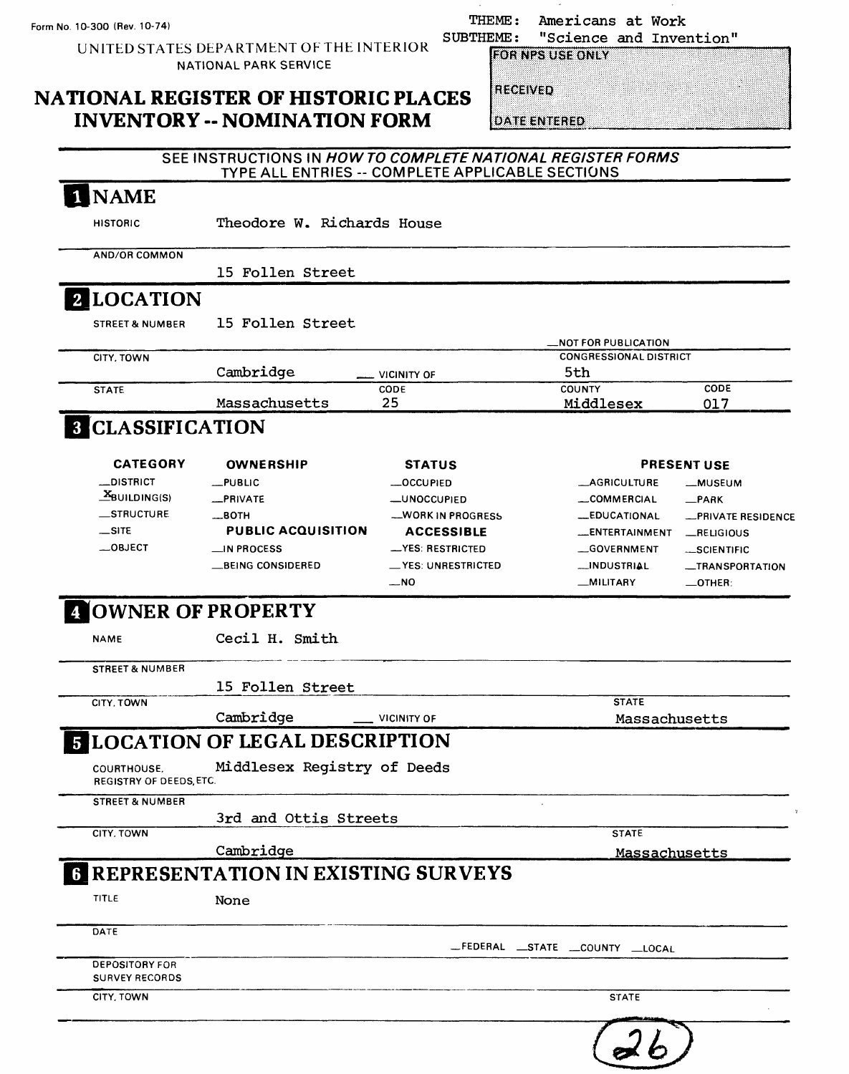THEME: Americans at Work<br>SUBTHEME: "Science and Inver EME: "Science and Invention"<br>FOR NPS USE ONLY

### **NATIONAL REGISTER OF HISTORIC PLACES INVENTORY -- NOMINATION FORM**

UNITED STATES DEPARTMENT OF THE INTERIOR NATIONAL PARK SERVICE

| RECEIVED |  |
|----------|--|
|          |  |

**DATE ENTERED** 

#### SEE INSTRUCTIONS IN HOW TO COMPLETE NATIONAL REGISTER FORMS TYPE ALL ENTRIES -- COMPLETE APPLICABLE SECTIONS

| <b>NAME</b>                                    |                                                          |                            |                                                       |                                    |
|------------------------------------------------|----------------------------------------------------------|----------------------------|-------------------------------------------------------|------------------------------------|
| <b>HISTORIC</b>                                | Theodore W. Richards House                               |                            |                                                       |                                    |
| <b>AND/OR COMMON</b>                           |                                                          |                            |                                                       |                                    |
|                                                | 15 Follen Street                                         |                            |                                                       |                                    |
| <b>2 LOCATION</b>                              |                                                          |                            |                                                       |                                    |
| <b>STREET &amp; NUMBER</b>                     | 15 Follen Street                                         |                            |                                                       |                                    |
| CITY, TOWN                                     |                                                          |                            | _NOT FOR PUBLICATION<br><b>CONGRESSIONAL DISTRICT</b> |                                    |
|                                                | Cambridge                                                | <b>VICINITY OF</b>         | 5th                                                   |                                    |
| <b>STATE</b>                                   | Massachusetts                                            | CODE<br>25                 | <b>COUNTY</b><br>Middlesex                            | CODE<br>017                        |
| <b>8 CLASSIFICATION</b>                        |                                                          |                            |                                                       |                                    |
| <b>CATEGORY</b>                                | <b>OWNERSHIP</b>                                         | <b>STATUS</b>              |                                                       | <b>PRESENT USE</b>                 |
| <b>_DISTRICT</b>                               | _PUBLIC                                                  | <b>__OCCUPIED</b>          | <b>_AGRICULTURE</b>                                   | -MUSEUM                            |
| $\mathbf{X}_{\text{BULDING(S)}}$               | <b>_PRIVATE</b>                                          | <b>_UNOCCUPIED</b>         | _COMMERCIAL                                           | $R$ PARK                           |
| STRUCTURE                                      | $\equiv$ BOTH                                            | <b>__WORK IN PROGRESS</b>  | <b>LEDUCATIONAL</b>                                   | -PRIVATE RESIDENCE                 |
| $-SITE$                                        | <b>PUBLIC ACQUISITION</b>                                | <b>ACCESSIBLE</b>          | <b>LENTERTAINMENT</b>                                 | __RELIGIOUS                        |
| -OBJECT                                        | $\equiv$ in Process                                      | -YES: RESTRICTED           | GOVERNMENT                                            | -SCIENTIFIC                        |
|                                                | __BEING CONSIDERED                                       | __YES: UNRESTRICTED<br>_N0 | <b>__INDUSTRIAL</b><br>_MILITARY                      | -TRANSPORTATION<br>$\equiv$ OTHER: |
| <b>A OWNER OF PROPERTY</b><br><b>NAME</b>      | Cecil H. Smith                                           |                            |                                                       |                                    |
| <b>STREET &amp; NUMBER</b>                     |                                                          |                            |                                                       |                                    |
|                                                | 15 Follen Street                                         |                            |                                                       |                                    |
| CITY, TOWN                                     |                                                          |                            | <b>STATE</b>                                          |                                    |
|                                                | Cambridge                                                | <b>VICINITY OF</b>         | Massachusetts                                         |                                    |
|                                                | <b>E LOCATION OF LEGAL DESCRIPTION</b>                   |                            |                                                       |                                    |
| COURTHOUSE.<br>REGISTRY OF DEEDS, ETC.         | Middlesex Registry of Deeds                              |                            |                                                       |                                    |
| <b>STREET &amp; NUMBER</b>                     | 3rd and Ottis Streets                                    |                            |                                                       |                                    |
| CITY, TOWN                                     |                                                          |                            | <b>STATE</b>                                          |                                    |
|                                                | Cambridge<br><b>6 REPRESENTATION IN EXISTING SURVEYS</b> |                            | Massachusetts                                         |                                    |
| TITLE                                          | None                                                     |                            |                                                       |                                    |
|                                                |                                                          |                            |                                                       |                                    |
|                                                |                                                          |                            | _FEDERAL __STATE __COUNTY __LOCAL                     |                                    |
| DATE                                           |                                                          |                            |                                                       |                                    |
| <b>DEPOSITORY FOR</b><br><b>SURVEY RECORDS</b> |                                                          |                            |                                                       |                                    |
| CITY, TOWN                                     |                                                          |                            | <b>STATE</b>                                          |                                    |
|                                                |                                                          |                            |                                                       |                                    |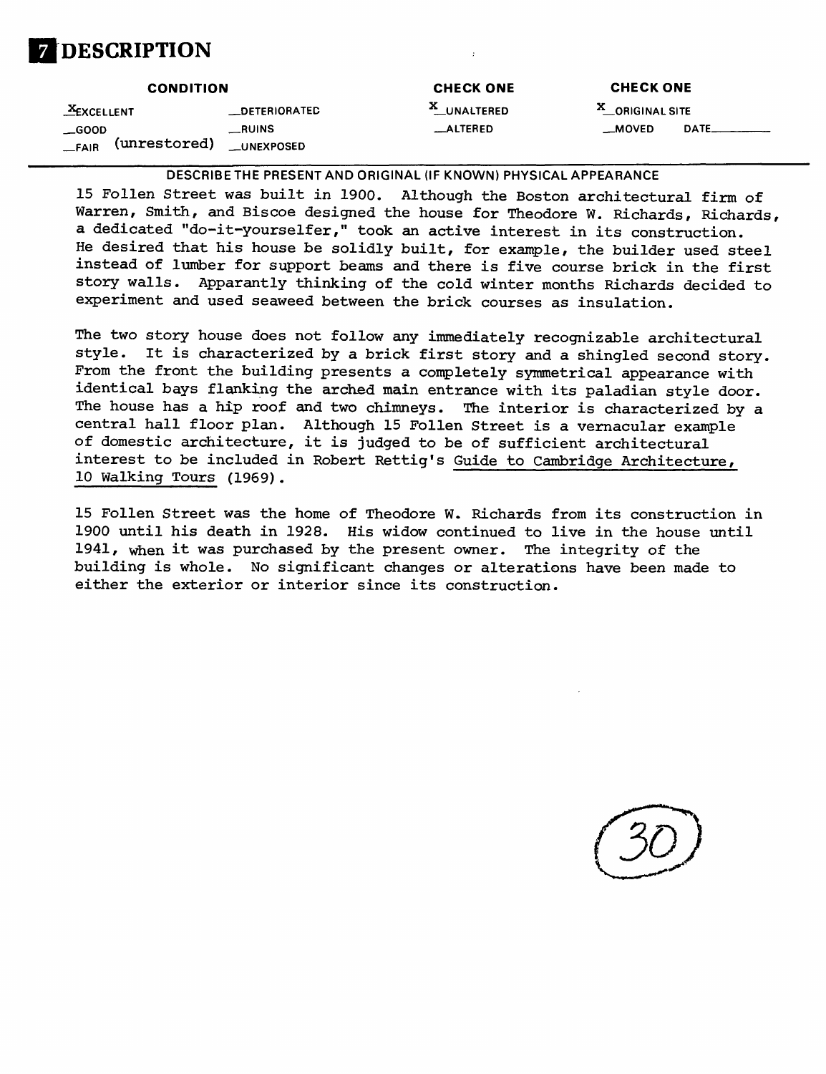

| <b>CONDITION</b>                         |                             | <b>CHECK ONE</b> | <b>CHECK ONE</b> |  |
|------------------------------------------|-----------------------------|------------------|------------------|--|
| $X$ EXCELLENT                            | <b>_DETERIORATED</b>        | X_UNALTERED      | X_ORIGINAL SITE  |  |
| $\equiv$ GOOD<br>(unrestored)<br>$-FAIR$ | $_{-}$ RUINS<br>__UNEXPOSED | _ALTERED         | _MOVED           |  |

**DESCRIBE THE PRESENT AND ORIGINAL (IF KNOWN) PHYSICAL APPEARANCE**

15 Follen Street was built in 1900. Although the Boston architectural firm of Warren, Smith, and Biscoe designed the house for Theodore W. Richards, Richards, a dedicated "do-it-yourselfer," took an active interest in its construction. He desired that his house be solidly built, for example, the builder used steel instead of lumber for support beams and there is five course brick in the first story walls. Apparantly thinking of the cold winter months Richards decided to experiment and used seaweed between the brick courses as insulation.

The two story house does not follow any immediately recognizable architectural style. It is characterized by a brick first story and a shingled second story. From the front the building presents a completely symmetrical appearance with identical bays flanking the arched main entrance with its paladian style door. The house has a hip roof and two chimneys. The interior is characterized by a central hall floor plan. Although 15 Follen Street is a vernacular example of domestic architecture, it is judged to be of sufficient architectural interest to be included in Robert Rettig's Guide to Cambridge Architecture, 10 Walking Tours (1969).

15 Follen Street was the home of Theodore W. Richards from its construction in 1900 until his death in 1928. His widow continued to live in the house until 1941, when it was purchased by the present owner. The integrity of the building is whole. No significant changes or alterations have been made to either the exterior or interior since its construction.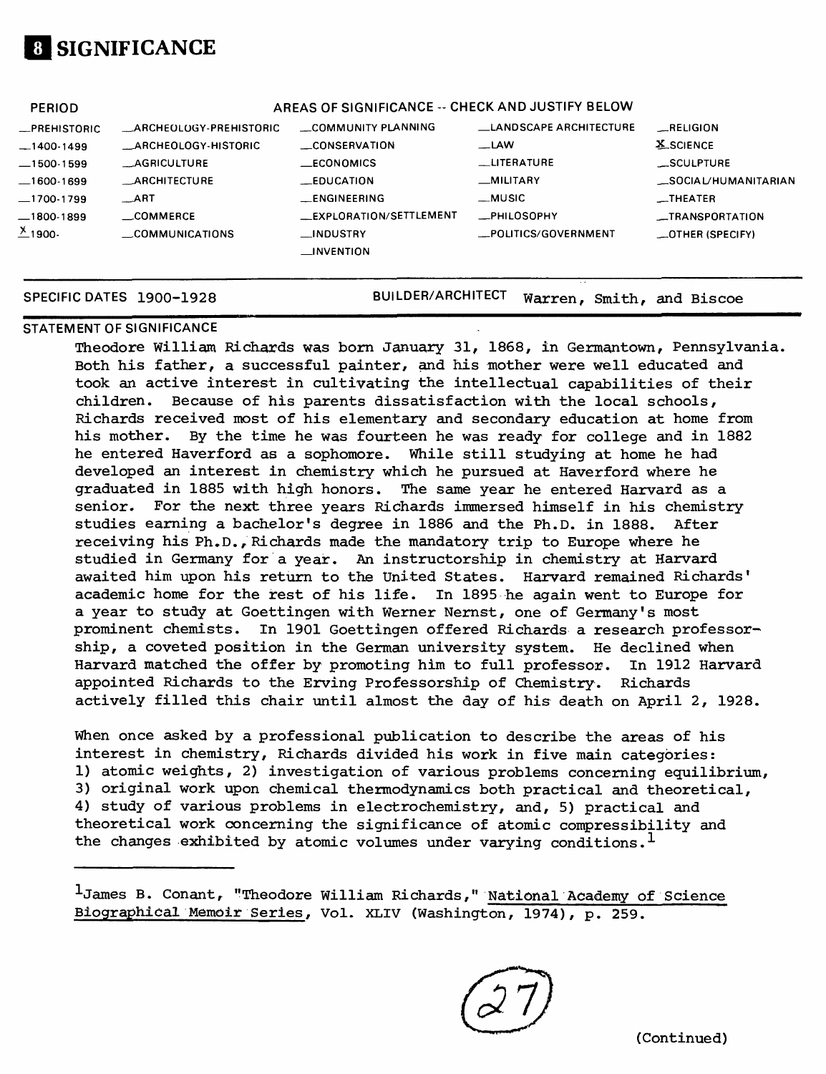# **[I SIGNIFICANCE**

| <b>PERIOD</b>          |                               | AREAS OF SIGNIFICANCE -- CHECK AND JUSTIFY BELOW |                               |                         |
|------------------------|-------------------------------|--------------------------------------------------|-------------------------------|-------------------------|
| -PREHISTORIC           | <b>ARCHEOLOGY-PREHISTORIC</b> | COMMUNITY PLANNING                               | <b>LANDSCAPE ARCHITECTURE</b> | $\_$ RELIGION           |
| $-1400-1499$           | ARCHEOLOGY-HISTORIC           | CONSERVATION                                     | —LAW                          | <b>X_SCIENCE</b>        |
| $-1500-1599$           | AGRICULTURE                   | <b>ECONOMICS</b>                                 | <b>LUTERATURE</b>             | <b>__SCULPTURE</b>      |
| __1600-1699            | <b>ARCHITECTURE</b>           | <b>EDUCATION</b>                                 | _MILITARY                     | SOCIAL/HUMANITARIAN     |
| _1700-1799             | <b>ART</b>                    | $$ ENGINEERING                                   | __MUSIC                       | <b>__THEATER</b>        |
| _1800-1899             | <b>COMMERCE</b>               | _EXPLORATION/SETTLEMENT                          | _PHILOSOPHY                   | <b>__TRANSPORTATION</b> |
| $\frac{\chi}{2}$ 1900- | COMMUNICATIONS                | _INDUSTRY                                        | _POLITICS/GOVERNMENT          | $-$ OTHER (SPECIFY)     |
|                        |                               | $\Box$ INVENTION                                 |                               |                         |
|                        |                               |                                                  |                               |                         |

**SPECIFIC DATES 1900-1928** BUILDER/ARCHITECT warren, Smith, and Biscoe

#### **STATEMENT OF SIGNIFICANCE**

Theodore William Richards was born January 31, 1868, in Germantown, Pennsylvania. Both his father, a successful painter, and his mother were well educated and took an active interest in cultivating the intellectual capabilities of their children. Because of his parents dissatisfaction with the local schools, Richards received most of his elementary and secondary education at home from his mother. By the time he was fourteen he was ready for college and in 1882 he entered Haverford as a sophomore. While still studying at home he had developed an interest in chemistry which he pursued at Haverford where he graduated in 1885 with high honors. The same year he entered Harvard as a senior. For the next three years Richards immersed himself in his chemistry studies earning a bachelor's degree in 1886 and the Ph.D. in 1888. After receiving his Ph.D., Richards made the mandatory trip to Europe where he studied in Germany for a year. An instructorship in chemistry at Harvard awaited him upon his return to the United States. Harvard remained Richards' academic home for the rest of his life. In 1895 he again went to Europe for a year to study at Goettingen with Werner Nernst, one of Germany's most prominent chemists. In 1901 Goettingen offered Richards a research professorship, a coveted position in the German university system. He declined when Harvard matched the offer by promoting him to full professor. In 1912 Harvard appointed Richards to the Erving Professorship of Chemistry. Richards actively filled this chair until almost the day of his death on April 2, 1928.

When once asked by a professional publication to describe the areas of his interest in chemistry, Richards divided his work in five main categories: 1) atomic weights, 2) investigation of various problems concerning equilibrium, 3) original work upon chemical thermodynamics both practical and theoretical, 4) study of various problems in electrochemistry, and, 5) practical and theoretical work concerning the significance of atomic compressibility and the changes exhibited by atomic volumes under varying conditions.<sup>1</sup>

1James B. Conant, "Theodore William Richards," National Academy of Science Biographical Memoir Series, Vol. XLIV (Washington, 1974), p. 259.

(Continued)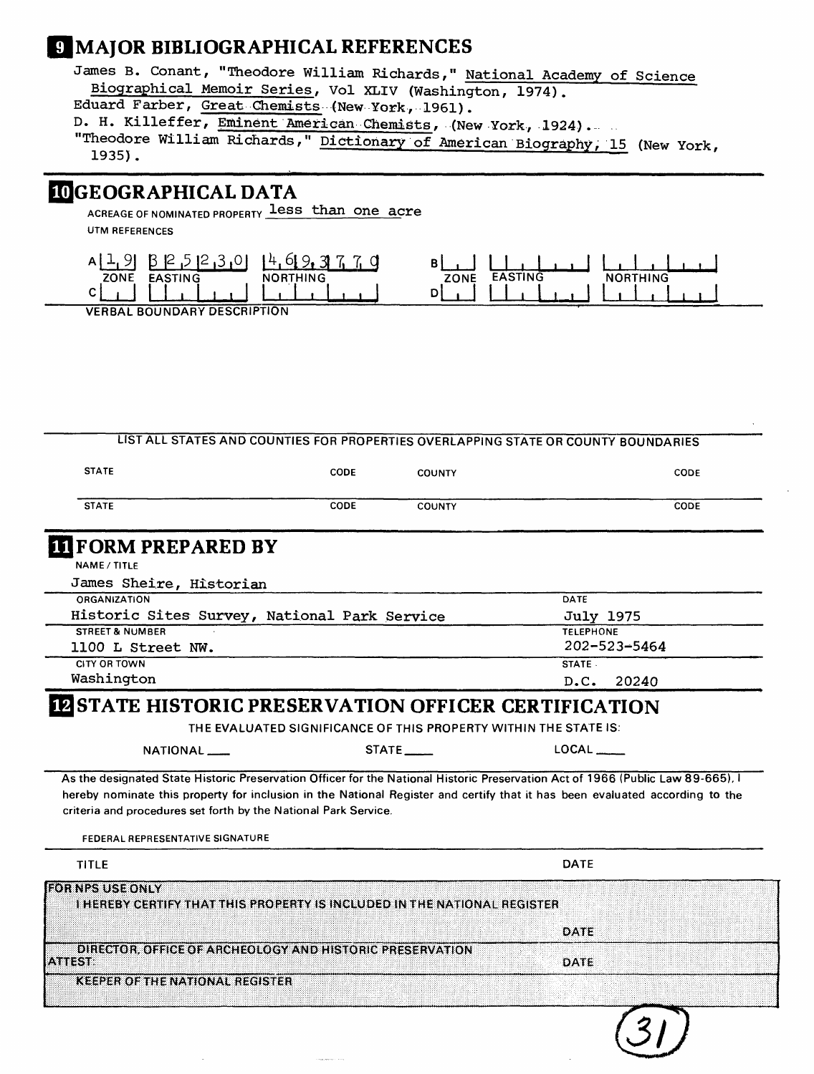## **9 MAJOR BIBLIOGRAPHICAL REFERENCES**

James B. Conant, "Theodore William Richards," National Academy of Science Biographical Memoir Series, Vol XLIV (Washington, 1974). Eduard Farber, Great Chemists (New York, 1961). D. H. Killeffer, Eminent American Chemists, (New York, 1924)... . "Theodore William Richards," Dictionary of American Biography, 15 (New York, 1935).

#### **3GEOGRAPHICAL DATA**

ACREAGE OF NOMINATED PROPERTY less than one acre **UTM REFERENCES**



**VERBAL BOUNDARY DESCRIPTION**

|              |             | ___           | _________ | _ _ _ _ _ _ _ _ _ |
|--------------|-------------|---------------|-----------|-------------------|
| <b>STATE</b> | <b>CODE</b> | <b>COUNTY</b> |           | CODE              |
| <b>STATE</b> | CODE        | <b>COUNTY</b> |           | <b>CODE</b>       |

**LIST ALL STATES AND COUNTIES FOR PROPERTIES OVERLAPPING STATE OR COUNTY BOUNDARIES**

#### **FORM PREPARED BY**

**NAME/TITLE**

| James Sheire, Historian                      |                    |
|----------------------------------------------|--------------------|
| ORGANIZATION                                 | DATE               |
| Historic Sites Survey, National Park Service | <b>July 1975</b>   |
| <b>STREET &amp; NUMBER</b>                   | <b>TELEPHONE</b>   |
| 1100 L Street NW.                            | $202 - 523 - 5464$ |
| <b>CITY OR TOWN</b>                          | STATE -            |
| Washington                                   | D.C. 20240         |
|                                              |                    |

#### **IZ STATE HISTORIC PRESERVATION OFFICER CERTIFICATION**

**THE EVALUATED SIGNIFICANCE OF THIS PROPERTY WITHIN THE STATE IS:** 

| NATIONAL ___                                                                                                                    | $\mathsf{LOCAL} \_\_$ |  |
|---------------------------------------------------------------------------------------------------------------------------------|-----------------------|--|
| As the designated State Historic Preservation Officer for the National Historic Preservation Act of 1966 (Public Law 89-665), I |                       |  |

**hereby nominate this property for inclusion in the National Register and certify that it has been evaluated according to the criteria and procedures set forth by the National Park Service.**

**FEDERAL REPRESENTATIVE SIGNATURE** 

| <b>TITLE</b>                                                                                        | <b>DATE</b> |
|-----------------------------------------------------------------------------------------------------|-------------|
| <b>FOR NPS USE ONLY</b><br>THEREBY CERTIFY THAT THIS PROPERTY IS INCLUDED IN THE NATIONAL REGISTER. | DATE        |
| DIRECTOR, OFFICE OF ARCHEOLOGY AND HISTORIC PRESERVATION<br>17. Y 88 35 36                          | DATE        |
| <b>KEEPER OF THE NATIONAL REGISTER</b>                                                              |             |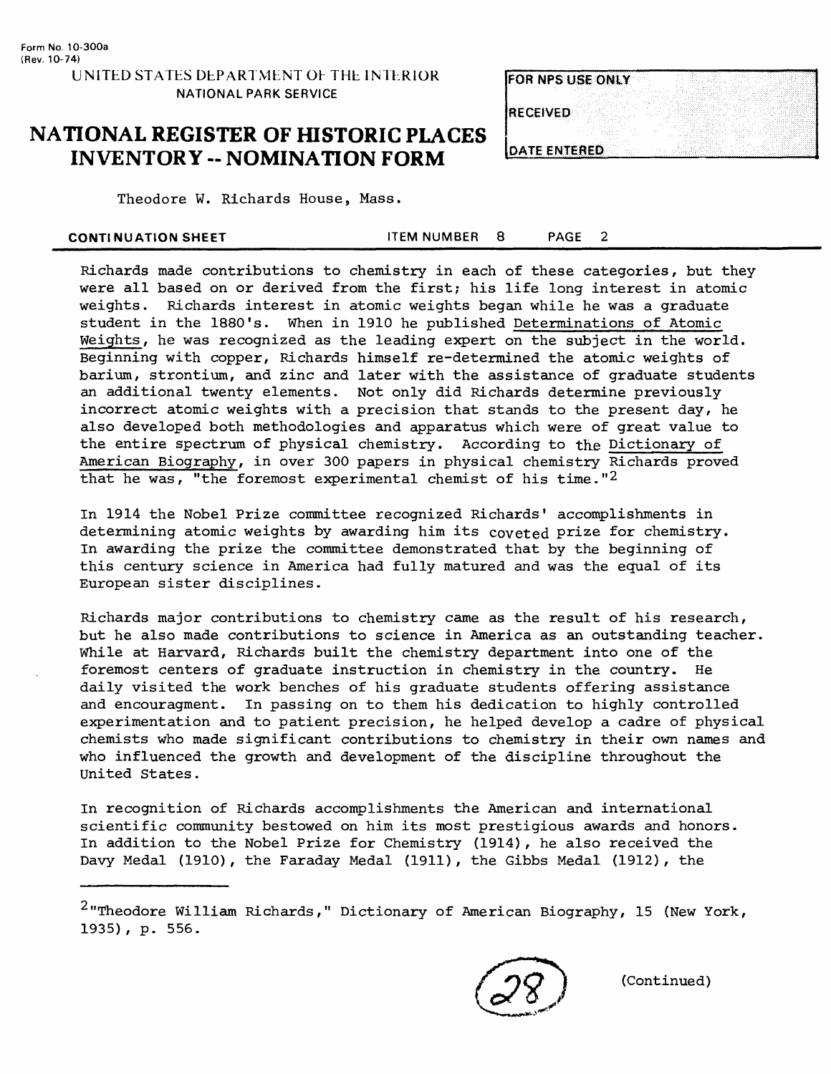### **NATIONAL REGISTER OF HISTORIC PLACES INVENTORY -- NOMINATION FORM**

| <b>FOR NPS USE ONLY</b> |  |
|-------------------------|--|
|                         |  |
| <b>RECEIVED</b>         |  |
|                         |  |
|                         |  |
| <b>DATE ENTERED</b>     |  |

Theodore W. Richards House, Mass.

| <b>CONTINUATION SHEET</b> | <b>ITEM NUMBER</b> |  | <b>PAGE</b> |  |  |
|---------------------------|--------------------|--|-------------|--|--|
|---------------------------|--------------------|--|-------------|--|--|

Richards made contributions to chemistry in each of these categories , but they were all based on or derived from the first; his life long interest in atomic weights. Richards interest in atomic weights began while he was a graduate student in the 1880's. When in 1910 he published Determinations of Atomic Weights, he was recognized as the leading expert on the subject in the world. Beginning with copper, Richards himself re-determined the atomic weights of barium, strontium, and zinc and later with the assistance of graduate students an additional twenty elements. Not only did Richards determine previously incorrect atomic weights with a precision that stands to the present day, he also developed both methodologies and apparatus which were of great value to the entire spectrum of physical chemistry. According to the Dictionary of American Biography, in over 300 papers in physical chemistry Richards proved that he was, "the foremost experimental chemist of his time."2

In 1914 the Nobel Prize committee recognized Richards' accomplishments in determining atomic weights by awarding him its coveted prize for chemistry. In awarding the prize the committee demonstrated that by the beginning of this century science in America had fully matured and was the equal of its European sister disciplines.

Richards major contributions to chemistry came as the result of his research, but he also made contributions to science in America as an outstanding teacher. While at Harvard, Richards built the chemistry department into one of the foremost centers of graduate instruction in chemistry in the country. He daily visited the work benches of his graduate students offering assistance and encouragment. In passing on to them his dedication to highly controlled experimentation and to patient precision, he helped develop a cadre of physical chemists who made significant contributions to chemistry in their own names and who influenced the growth and development of the discipline throughout the United States.

In recognition of Richards accomplishments the American and international scientific community bestowed on him its most prestigious awards and honors. In addition to the Nobel Prize for Chemistry (1914), he also received the Davy Medal (1910), the Faraday Medal (1911), the Gibbs Medal (1912), the

(Continued)

 $2$ "Theodore William Richards," Dictionary of American Biography, 15 (New York, 1935) , p. 556.